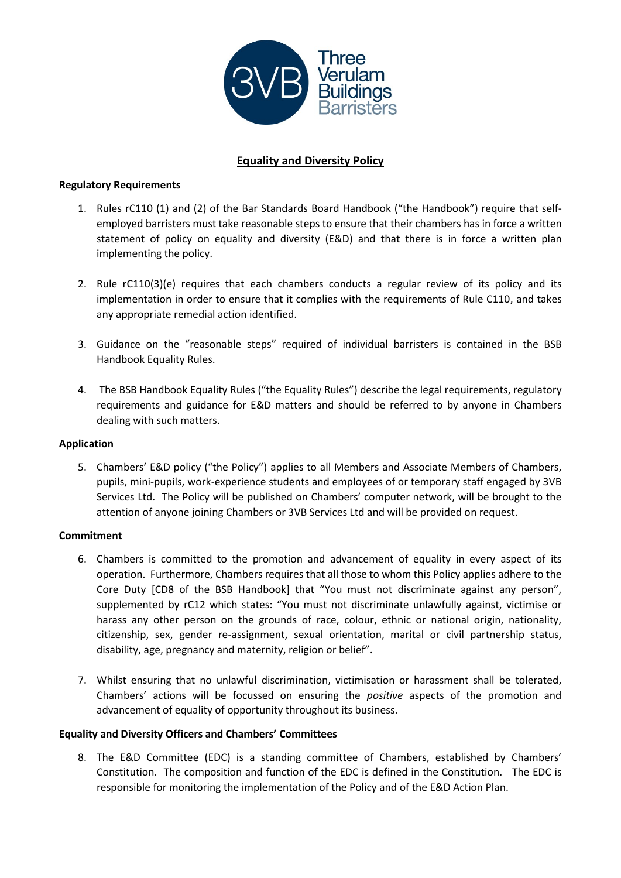

# **Equality and Diversity Policy**

# **Regulatory Requirements**

- 1. Rules rC110 (1) and (2) of the Bar Standards Board Handbook ("the Handbook") require that selfemployed barristers must take reasonable steps to ensure that their chambers has in force a written statement of policy on equality and diversity (E&D) and that there is in force a written plan implementing the policy.
- 2. Rule rC110(3)(e) requires that each chambers conducts a regular review of its policy and its implementation in order to ensure that it complies with the requirements of Rule C110, and takes any appropriate remedial action identified.
- 3. Guidance on the "reasonable steps" required of individual barristers is contained in the BSB Handbook Equality Rules.
- 4. The BSB Handbook Equality Rules ("the Equality Rules") describe the legal requirements, regulatory requirements and guidance for E&D matters and should be referred to by anyone in Chambers dealing with such matters.

# **Application**

5. Chambers' E&D policy ("the Policy") applies to all Members and Associate Members of Chambers, pupils, mini-pupils, work-experience students and employees of or temporary staff engaged by 3VB Services Ltd. The Policy will be published on Chambers' computer network, will be brought to the attention of anyone joining Chambers or 3VB Services Ltd and will be provided on request.

### **Commitment**

- 6. Chambers is committed to the promotion and advancement of equality in every aspect of its operation. Furthermore, Chambers requires that all those to whom this Policy applies adhere to the Core Duty [CD8 of the BSB Handbook] that "You must not discriminate against any person", supplemented by rC12 which states: "You must not discriminate unlawfully against, victimise or harass any other person on the grounds of race, colour, ethnic or national origin, nationality, citizenship, sex, gender re-assignment, sexual orientation, marital or civil partnership status, disability, age, pregnancy and maternity, religion or belief".
- 7. Whilst ensuring that no unlawful discrimination, victimisation or harassment shall be tolerated, Chambers' actions will be focussed on ensuring the *positive* aspects of the promotion and advancement of equality of opportunity throughout its business.

### **Equality and Diversity Officers and Chambers' Committees**

8. The E&D Committee (EDC) is a standing committee of Chambers, established by Chambers' Constitution. The composition and function of the EDC is defined in the Constitution. The EDC is responsible for monitoring the implementation of the Policy and of the E&D Action Plan.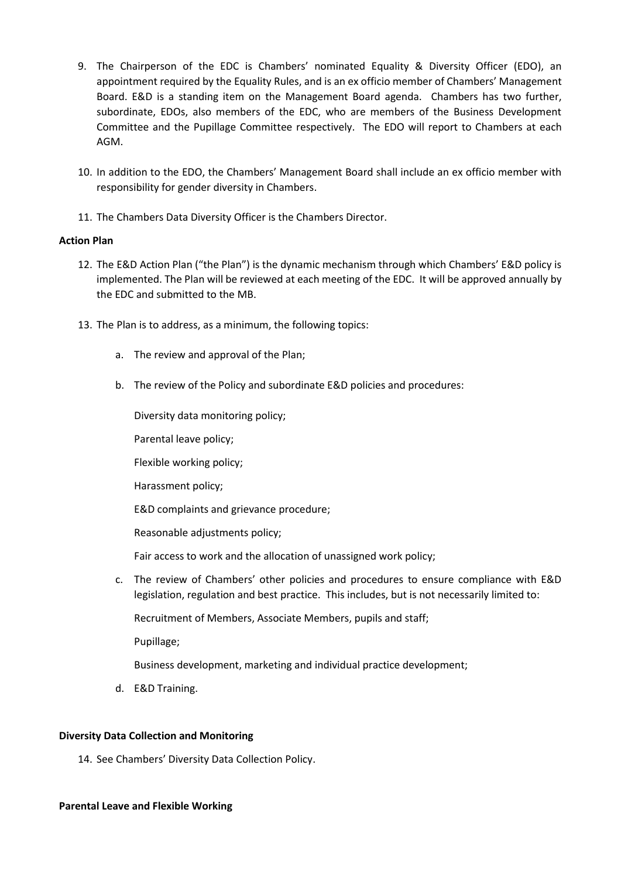- 9. The Chairperson of the EDC is Chambers' nominated Equality & Diversity Officer (EDO), an appointment required by the Equality Rules, and is an ex officio member of Chambers' Management Board. E&D is a standing item on the Management Board agenda. Chambers has two further, subordinate, EDOs, also members of the EDC, who are members of the Business Development Committee and the Pupillage Committee respectively. The EDO will report to Chambers at each AGM.
- 10. In addition to the EDO, the Chambers' Management Board shall include an ex officio member with responsibility for gender diversity in Chambers.
- 11. The Chambers Data Diversity Officer is the Chambers Director.

### **Action Plan**

- 12. The E&D Action Plan ("the Plan") is the dynamic mechanism through which Chambers' E&D policy is implemented. The Plan will be reviewed at each meeting of the EDC. It will be approved annually by the EDC and submitted to the MB.
- 13. The Plan is to address, as a minimum, the following topics:
	- a. The review and approval of the Plan;
	- b. The review of the Policy and subordinate E&D policies and procedures:

Diversity data monitoring policy;

Parental leave policy;

Flexible working policy;

Harassment policy;

E&D complaints and grievance procedure;

Reasonable adjustments policy;

Fair access to work and the allocation of unassigned work policy;

c. The review of Chambers' other policies and procedures to ensure compliance with E&D legislation, regulation and best practice. This includes, but is not necessarily limited to:

Recruitment of Members, Associate Members, pupils and staff;

Pupillage;

Business development, marketing and individual practice development;

d. E&D Training.

### **Diversity Data Collection and Monitoring**

14. See Chambers' Diversity Data Collection Policy.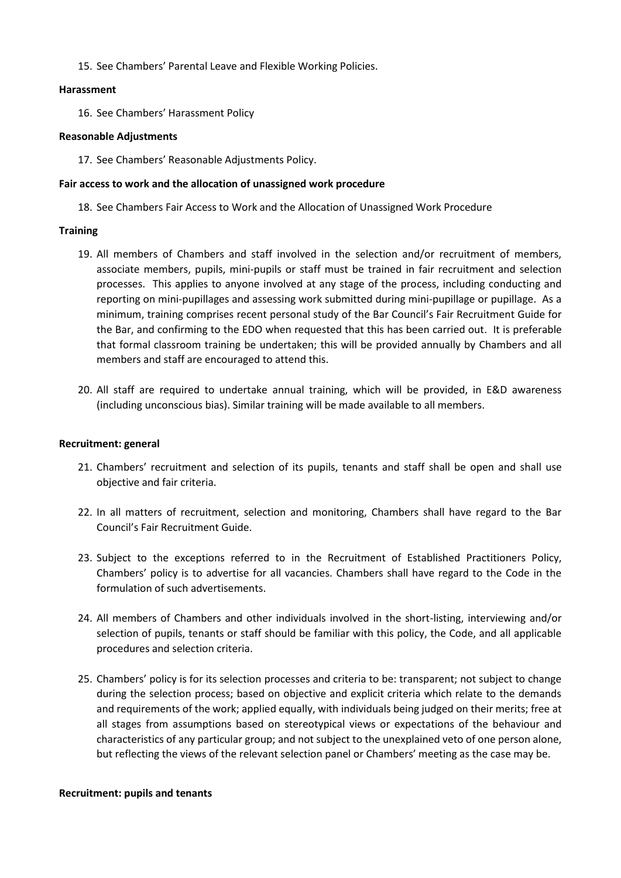15. See Chambers' Parental Leave and Flexible Working Policies.

### **Harassment**

16. See Chambers' Harassment Policy

### **Reasonable Adjustments**

17. See Chambers' Reasonable Adjustments Policy.

### **Fair access to work and the allocation of unassigned work procedure**

18. See Chambers Fair Access to Work and the Allocation of Unassigned Work Procedure

### **Training**

- 19. All members of Chambers and staff involved in the selection and/or recruitment of members, associate members, pupils, mini-pupils or staff must be trained in fair recruitment and selection processes. This applies to anyone involved at any stage of the process, including conducting and reporting on mini-pupillages and assessing work submitted during mini-pupillage or pupillage. As a minimum, training comprises recent personal study of the Bar Council's Fair Recruitment Guide for the Bar, and confirming to the EDO when requested that this has been carried out. It is preferable that formal classroom training be undertaken; this will be provided annually by Chambers and all members and staff are encouraged to attend this.
- 20. All staff are required to undertake annual training, which will be provided, in E&D awareness (including unconscious bias). Similar training will be made available to all members.

### **Recruitment: general**

- 21. Chambers' recruitment and selection of its pupils, tenants and staff shall be open and shall use objective and fair criteria.
- 22. In all matters of recruitment, selection and monitoring, Chambers shall have regard to the Bar Council's Fair Recruitment Guide.
- 23. Subject to the exceptions referred to in the Recruitment of Established Practitioners Policy, Chambers' policy is to advertise for all vacancies. Chambers shall have regard to the Code in the formulation of such advertisements.
- 24. All members of Chambers and other individuals involved in the short-listing, interviewing and/or selection of pupils, tenants or staff should be familiar with this policy, the Code, and all applicable procedures and selection criteria.
- 25. Chambers' policy is for its selection processes and criteria to be: transparent; not subject to change during the selection process; based on objective and explicit criteria which relate to the demands and requirements of the work; applied equally, with individuals being judged on their merits; free at all stages from assumptions based on stereotypical views or expectations of the behaviour and characteristics of any particular group; and not subject to the unexplained veto of one person alone, but reflecting the views of the relevant selection panel or Chambers' meeting as the case may be.

#### **Recruitment: pupils and tenants**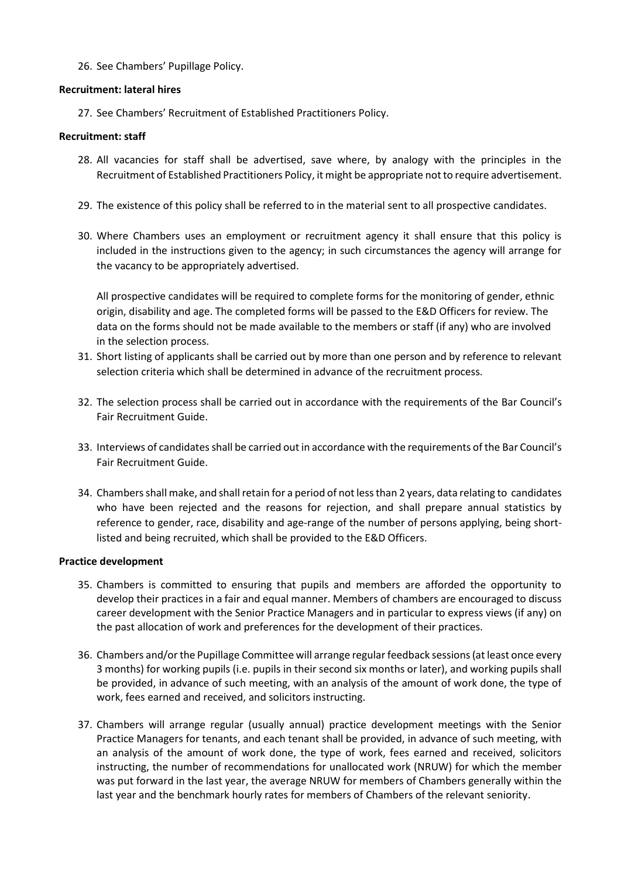# 26. See Chambers' Pupillage Policy.

### **Recruitment: lateral hires**

27. See Chambers' Recruitment of Established Practitioners Policy.

### **Recruitment: staff**

- 28. All vacancies for staff shall be advertised, save where, by analogy with the principles in the Recruitment of Established Practitioners Policy, it might be appropriate not to require advertisement.
- 29. The existence of this policy shall be referred to in the material sent to all prospective candidates.
- 30. Where Chambers uses an employment or recruitment agency it shall ensure that this policy is included in the instructions given to the agency; in such circumstances the agency will arrange for the vacancy to be appropriately advertised.

All prospective candidates will be required to complete forms for the monitoring of gender, ethnic origin, disability and age. The completed forms will be passed to the E&D Officers for review. The data on the forms should not be made available to the members or staff (if any) who are involved in the selection process.

- 31. Short listing of applicants shall be carried out by more than one person and by reference to relevant selection criteria which shall be determined in advance of the recruitment process.
- 32. The selection process shall be carried out in accordance with the requirements of the Bar Council's Fair Recruitment Guide.
- 33. Interviews of candidates shall be carried out in accordance with the requirements of the Bar Council's Fair Recruitment Guide.
- 34. Chambers shall make, and shall retain for a period of not less than 2 years, data relating to candidates who have been rejected and the reasons for rejection, and shall prepare annual statistics by reference to gender, race, disability and age-range of the number of persons applying, being shortlisted and being recruited, which shall be provided to the E&D Officers.

### **Practice development**

- 35. Chambers is committed to ensuring that pupils and members are afforded the opportunity to develop their practices in a fair and equal manner. Members of chambers are encouraged to discuss career development with the Senior Practice Managers and in particular to express views (if any) on the past allocation of work and preferences for the development of their practices.
- 36. Chambers and/or the Pupillage Committee will arrange regular feedback sessions (at least once every 3 months) for working pupils (i.e. pupils in their second six months or later), and working pupils shall be provided, in advance of such meeting, with an analysis of the amount of work done, the type of work, fees earned and received, and solicitors instructing.
- 37. Chambers will arrange regular (usually annual) practice development meetings with the Senior Practice Managers for tenants, and each tenant shall be provided, in advance of such meeting, with an analysis of the amount of work done, the type of work, fees earned and received, solicitors instructing, the number of recommendations for unallocated work (NRUW) for which the member was put forward in the last year, the average NRUW for members of Chambers generally within the last year and the benchmark hourly rates for members of Chambers of the relevant seniority.